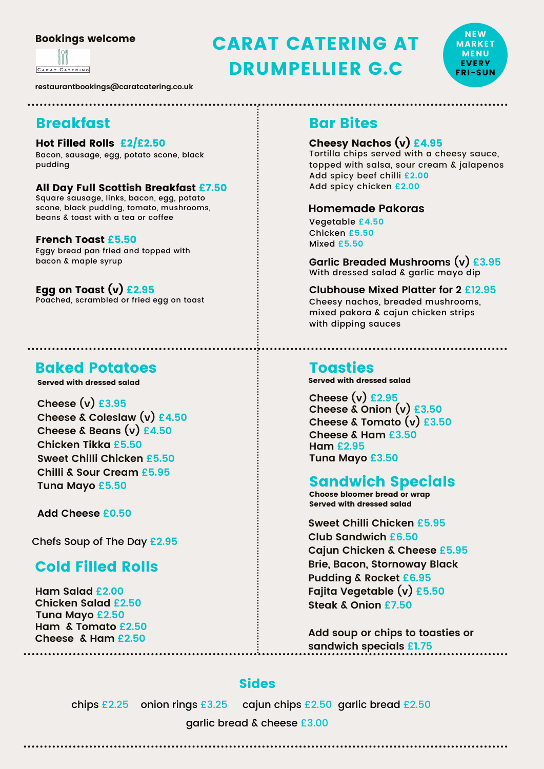#### Bookings welcome

CARAT CATERING

**restaurantbookings@caratcatering.co.uk**

# Breakfast

#### Hot Filled Rolls £2/£2.50

Bacon, sausage, egg, potato scone, black pudding

#### All Day Full Scottish Breakfast £7.50

Square sausage, links, bacon, egg, potato scone, black pudding, tomato, mushrooms, beans & toast with a tea or coffee

#### French Toast £5.50

Eggy bread pan fried and topped with bacon & maple syrup

### Egg on Toast  $(v)$  £2.95

Poached, scrambled or fried egg on toast

# Baked Potatoes

Served with dressed salad

**Cheese (v) £3.95 Cheese & Coleslaw (v) £4.50 Cheese & Beans (v) £4.50 Chicken Tikka £5.50 Sweet Chilli Chicken £5.50 Chilli & Sour Cream £5.95 Tuna Mayo £5.50**

**Add Cheese £0.50**

Chefs Soup of The Day **£2.95**

# Cold Filled Rolls

**Ham Salad £2.00 Chicken Salad £2.50 Tuna Mayo £2.50 Ham & Tomato £2.50 Cheese & Ham £2.50**

# CARAT CATERING AT DRUMPELLIER G.C



## Bar Bites

### Cheesy Nachos (v) £4.95

Tortilla chips served with a cheesy sauce, topped with salsa, sour cream & jalapenos Add spicy beef chilli **£2.00** Add spicy chicken **£2.00**

#### **Homemade Pakoras**

Vegetable **£4.50** Chicken **£5.50** Mixed **£5.50**

**Garlic Breaded Mushrooms (v) £3.95** With dressed salad & garlic mayo dip

**Clubhouse Mixed Platter for 2 £12.95** Cheesy nachos, breaded mushrooms, mixed pakora & cajun chicken strips with dipping sauces

**Toasties**<br>Served with dressed salad

**Cheese (v) £2.95 Cheese & Onion (v) £3.50 Cheese & Tomato (v) £3.50 Cheese & Ham £3.50 Ham £2.95 Tuna Mayo £3.50**

# Sandwich Specials

Choose bloomer bread or wrap Served with dressed salad

**Sweet Chilli Chicken £5.95 Club Sandwich £6.50 Cajun Chicken & Cheese £5.95 Brie, Bacon, Stornoway Black Pudding & Rocket £6.95 Fajita Vegetable (v) £5.50 Steak & Onion £7.50**

**Add soup or chips to toasties or sandwich specials £1.75**

# Sides

chips £2.25 onion rings £3.25 cajun chips £2.50 garlic bread £2.50

garlic bread & cheese £3.00